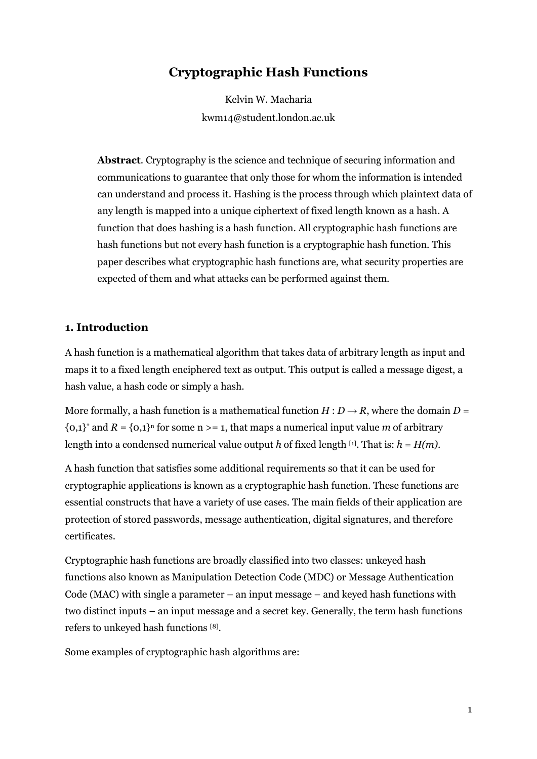# **Cryptographic Hash Functions**

Kelvin W. Macharia kwm14@student.london.ac.uk

**Abstract**. Cryptography is the science and technique of securing information and communications to guarantee that only those for whom the information is intended can understand and process it. Hashing is the process through which plaintext data of any length is mapped into a unique ciphertext of fixed length known as a hash. A function that does hashing is a hash function. All cryptographic hash functions are hash functions but not every hash function is a cryptographic hash function. This paper describes what cryptographic hash functions are, what security properties are expected of them and what attacks can be performed against them.

#### **1. Introduction**

A hash function is a mathematical algorithm that takes data of arbitrary length as input and maps it to a fixed length enciphered text as output. This output is called a message digest, a hash value, a hash code or simply a hash.

More formally, a hash function is a mathematical function  $H: D \to R$ , where the domain  $D =$  ${0,1}^*$  and  $R = {0,1}^n$  for some n > = 1, that maps a numerical input value *m* of arbitrary length into a condensed numerical value output *h* of fixed length [1] . That is: *h* = *H(m)*.

A hash function that satisfies some additional requirements so that it can be used for cryptographic applications is known as a cryptographic hash function. These functions are essential constructs that have a variety of use cases. The main fields of their application are protection of stored passwords, message authentication, digital signatures, and therefore certificates.

Cryptographic hash functions are broadly classified into two classes: unkeyed hash functions also known as Manipulation Detection Code (MDC) or Message Authentication Code (MAC) with single a parameter – an input message – and keyed hash functions with two distinct inputs – an input message and a secret key. Generally, the term hash functions refers to unkeyed hash functions [8] .

Some examples of cryptographic hash algorithms are: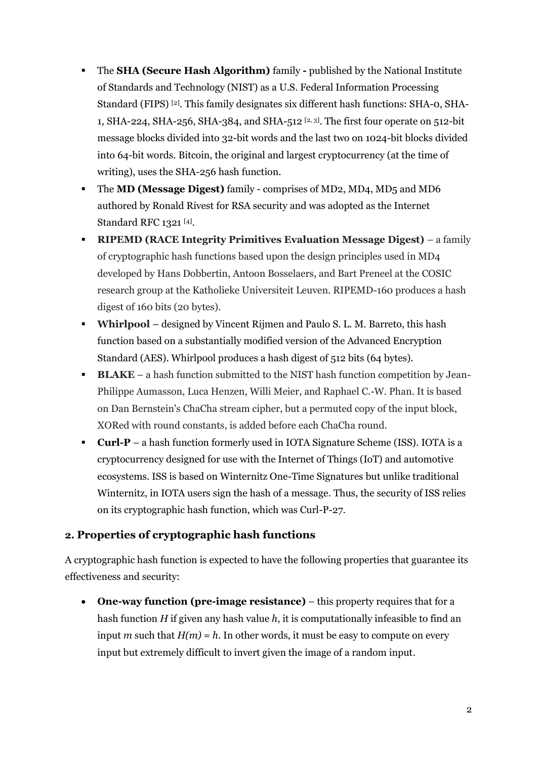- The **SHA (Secure Hash Algorithm)** family **-** published by the National Institute of Standards and Technology (NIST) as a U.S. Federal Information Processing Standard (FIPS)<sup>[2]</sup>. This family designates six different hash functions: SHA-0, SHA-1, SHA-224, SHA-256, SHA-384, and SHA-512  $[2, 3]$ . The first four operate on 512-bit message blocks divided into 32-bit words and the last two on 1024-bit blocks divided into 64-bit words. Bitcoin, the original and largest cryptocurrency (at the time of writing), uses the SHA-256 hash function.
- The **MD (Message Digest)** family comprises of MD2, MD4, MD5 and MD6 authored by Ronald Rivest for RSA security and was adopted as the Internet Standard RFC 1321 [4].
- **RIPEMD (RACE Integrity Primitives Evaluation Message Digest)** a family of cryptographic hash functions based upon the design principles used in MD4 developed by Hans Dobbertin, Antoon Bosselaers, and Bart Preneel at the COSIC research group at the Katholieke Universiteit Leuven. RIPEMD-160 produces a hash digest of 160 bits (20 bytes).
- **Whirlpool**  designed by Vincent Rijmen and Paulo S. L. M. Barreto, this hash function based on a substantially modified version of the Advanced Encryption Standard (AES). Whirlpool produces a hash digest of 512 bits (64 bytes).
- **BLAKE** a hash function submitted to the NIST hash function competition by Jean-Philippe Aumasson, Luca Henzen, Willi Meier, and Raphael C.-W. Phan. It is based on Dan Bernstein's ChaCha stream cipher, but a permuted copy of the input block, XORed with round constants, is added before each ChaCha round.
- **Curl-P** a hash function formerly used in IOTA Signature Scheme (ISS). IOTA is a cryptocurrency designed for use with the Internet of Things (IoT) and automotive ecosystems. ISS is based on Winternitz One-Time Signatures but unlike traditional Winternitz, in IOTA users sign the hash of a message. Thus, the security of ISS relies on its cryptographic hash function, which was Curl-P-27.

### **2. Properties of cryptographic hash functions**

A cryptographic hash function is expected to have the following properties that guarantee its effectiveness and security:

• **One-way function (pre-image resistance)** – this property requires that for a hash function *H* if given any hash value *h*, it is computationally infeasible to find an input *m* such that  $H(m) = h$ . In other words, it must be easy to compute on every input but extremely difficult to invert given the image of a random input.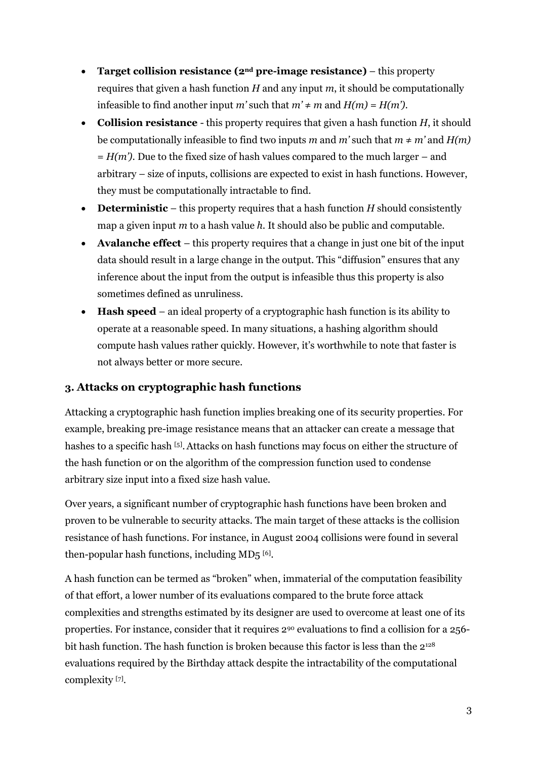- **Target collision resistance (2nd pre-image resistance)** this property requires that given a hash function *H* and any input *m*, it should be computationally infeasible to find another input *m*' such that  $m' \neq m$  and  $H(m) = H(m')$ .
- **Collision resistance**  this property requires that given a hash function *H*, it should be computationally infeasible to find two inputs *m* and *m'* such that  $m \neq m'$  and  $H(m)$  $=$  *H(m')*. Due to the fixed size of hash values compared to the much larger – and arbitrary – size of inputs, collisions are expected to exist in hash functions. However, they must be computationally intractable to find.
- **Deterministic** this property requires that a hash function *H* should consistently map a given input *m* to a hash value *h*. It should also be public and computable.
- **Avalanche effect**  this property requires that a change in just one bit of the input data should result in a large change in the output. This "diffusion" ensures that any inference about the input from the output is infeasible thus this property is also sometimes defined as unruliness.
- **Hash speed**  an ideal property of a cryptographic hash function is its ability to operate at a reasonable speed. In many situations, a hashing algorithm should compute hash values rather quickly. However, it's worthwhile to note that faster is not always better or more secure.

### **3. Attacks on cryptographic hash functions**

Attacking a cryptographic hash function implies breaking one of its security properties. For example, breaking pre-image resistance means that an attacker can create a message that hashes to a specific hash [5]. Attacks on hash functions may focus on either the structure of the hash function or on the algorithm of the compression function used to condense arbitrary size input into a fixed size hash value.

Over years, a significant number of cryptographic hash functions have been broken and proven to be vulnerable to security attacks. The main target of these attacks is the collision resistance of hash functions. For instance, in August 2004 collisions were found in several then-popular hash functions, including MD5 [6] .

A hash function can be termed as "broken" when, immaterial of the computation feasibility of that effort, a lower number of its evaluations compared to the brute force attack complexities and strengths estimated by its designer are used to overcome at least one of its properties. For instance, consider that it requires 2<sup>90</sup> evaluations to find a collision for a 256 bit hash function. The hash function is broken because this factor is less than the  $2^{128}$ evaluations required by the Birthday attack despite the intractability of the computational complexity<sup>[7]</sup>.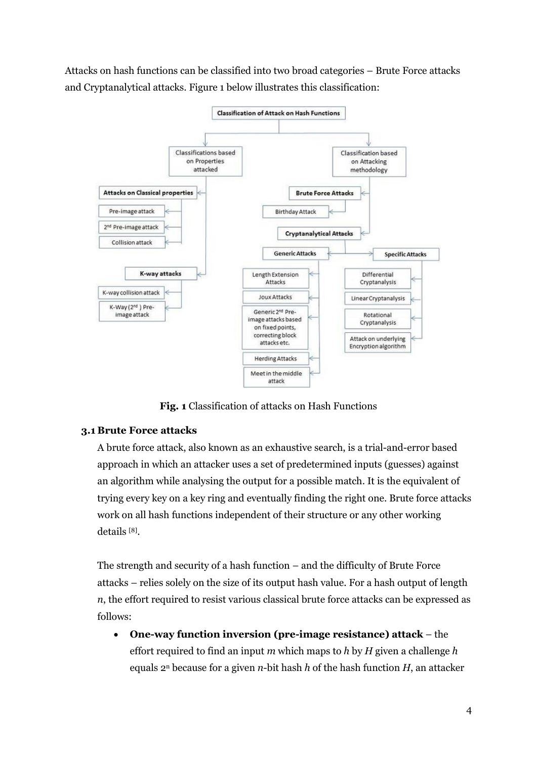Attacks on hash functions can be classified into two broad categories – Brute Force attacks and Cryptanalytical attacks. Figure 1 below illustrates this classification:



**Fig. 1** Classification of attacks on Hash Functions

### **3.1 Brute Force attacks**

A brute force attack, also known as an exhaustive search, is a trial-and-error based approach in which an attacker uses a set of predetermined inputs (guesses) against an algorithm while analysing the output for a possible match. It is the equivalent of trying every key on a key ring and eventually finding the right one. Brute force attacks work on all hash functions independent of their structure or any other working details [8] .

The strength and security of a hash function – and the difficulty of Brute Force attacks – relies solely on the size of its output hash value. For a hash output of length *n*, the effort required to resist various classical brute force attacks can be expressed as follows:

• **One-way function inversion (pre-image resistance) attack** – the effort required to find an input *m* which maps to *h* by *H* given a challenge *h* equals 2<sup>n</sup> because for a given *n*-bit hash *h* of the hash function *H*, an attacker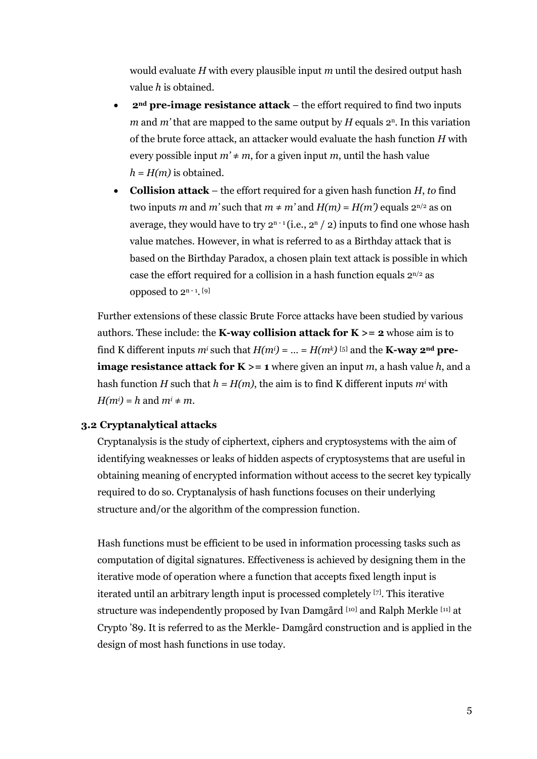would evaluate *H* with every plausible input *m* until the desired output hash value *h* is obtained.

- **2nd pre-image resistance attack** the effort required to find two inputs *m* and *m*' that are mapped to the same output by  $H$  equals  $2^n$ . In this variation of the brute force attack, an attacker would evaluate the hash function *H* with every possible input  $m' \neq m$ , for a given input *m*, until the hash value  $h = H(m)$  is obtained.
- **Collision attack** the effort required for a given hash function *H*, *to* find two inputs *m* and *m'* such that  $m \neq m'$  and  $H(m) = H(m')$  equals  $2^{n/2}$  as on average, they would have to try  $2^{n-1}$  (i.e.,  $2^n / 2$ ) inputs to find one whose hash value matches. However, in what is referred to as a Birthday attack that is based on the Birthday Paradox, a chosen plain text attack is possible in which case the effort required for a collision in a hash function equals  $2^{n/2}$  as opposed to 2<sup>n-1</sup>.<sup>[9]</sup>

Further extensions of these classic Brute Force attacks have been studied by various authors. These include: the **K-way collision attack for**  $K \ge 2$  whose aim is to find K different inputs  $m^i$  such that  $H(m^i) = ... = H(m^k)$  [5] and the **K-way 2<sup>nd</sup> preimage resistance attack for K**  $>$  = 1 where given an input *m*, a hash value *h*, and a hash function *H* such that  $h = H(m)$ , the aim is to find K different inputs  $m<sup>i</sup>$  with  $H(m^i) = h$  and  $m^i \neq m$ .

#### **3.2 Cryptanalytical attacks**

Cryptanalysis is the study of ciphertext, ciphers and cryptosystems with the aim of identifying weaknesses or leaks of hidden aspects of cryptosystems that are useful in obtaining meaning of encrypted information without access to the secret key typically required to do so. Cryptanalysis of hash functions focuses on their underlying structure and/or the algorithm of the compression function.

Hash functions must be efficient to be used in information processing tasks such as computation of digital signatures. Effectiveness is achieved by designing them in the iterative mode of operation where a function that accepts fixed length input is iterated until an arbitrary length input is processed completely [7] . This iterative structure was independently proposed by Ivan Damgård [10] and Ralph Merkle [11] at Crypto '89. It is referred to as the Merkle- Damgård construction and is applied in the design of most hash functions in use today.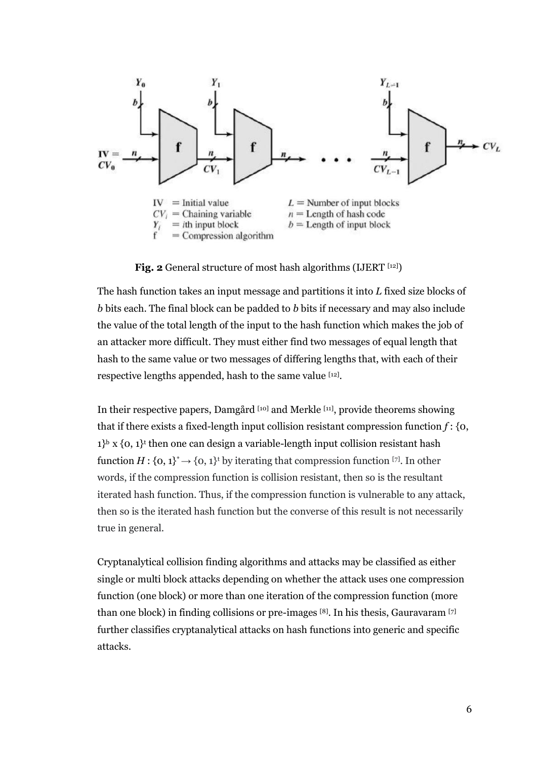

**Fig. 2** General structure of most hash algorithms (IJERT [12])

The hash function takes an input message and partitions it into *L* fixed size blocks of *b* bits each. The final block can be padded to *b* bits if necessary and may also include the value of the total length of the input to the hash function which makes the job of an attacker more difficult. They must either find two messages of equal length that hash to the same value or two messages of differing lengths that, with each of their respective lengths appended, hash to the same value [12].

In their respective papers, Damgård [10] and Merkle [11] , provide theorems showing that if there exists a fixed-length input collision resistant compression function *f* : {0,  $1$ <sup>b</sup> x  $\{0, 1\}$ <sup>t</sup> then one can design a variable-length input collision resistant hash function  $H: \{0, 1\}^* \rightarrow \{0, 1\}^*$  by iterating that compression function [7]. In other words, if the compression function is collision resistant, then so is the resultant iterated hash function. Thus, if the compression function is vulnerable to any attack, then so is the iterated hash function but the converse of this result is not necessarily true in general.

Cryptanalytical collision finding algorithms and attacks may be classified as either single or multi block attacks depending on whether the attack uses one compression function (one block) or more than one iteration of the compression function (more than one block) in finding collisions or pre-images [8] . In his thesis, Gauravaram [7] further classifies cryptanalytical attacks on hash functions into generic and specific attacks.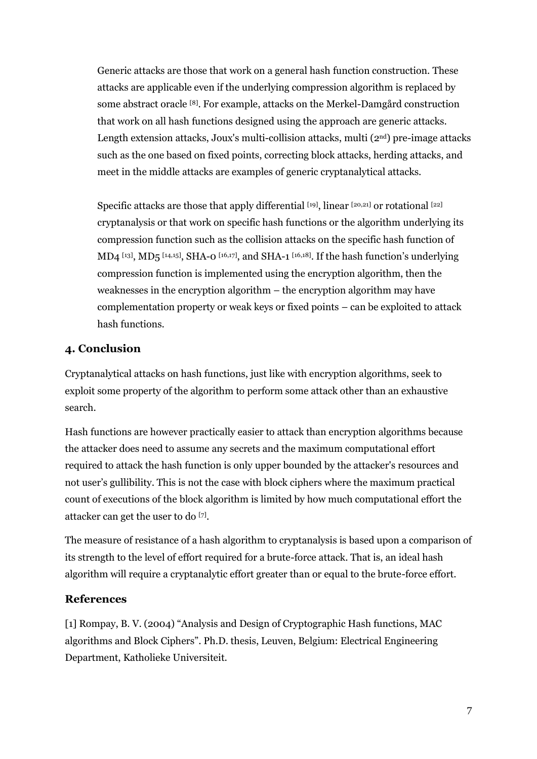Generic attacks are those that work on a general hash function construction. These attacks are applicable even if the underlying compression algorithm is replaced by some abstract oracle [8] . For example, attacks on the Merkel-Damgård construction that work on all hash functions designed using the approach are generic attacks. Length extension attacks, Joux's multi-collision attacks, multi  $(2<sup>nd</sup>)$  pre-image attacks such as the one based on fixed points, correcting block attacks, herding attacks, and meet in the middle attacks are examples of generic cryptanalytical attacks.

Specific attacks are those that apply differential [19], linear [20,21] or rotational [22] cryptanalysis or that work on specific hash functions or the algorithm underlying its compression function such as the collision attacks on the specific hash function of MD4 [13], MD5 [14,15], SHA-0 [16,17], and SHA-1 [16,18]. If the hash function's underlying compression function is implemented using the encryption algorithm, then the weaknesses in the encryption algorithm – the encryption algorithm may have complementation property or weak keys or fixed points – can be exploited to attack hash functions.

## **4. Conclusion**

Cryptanalytical attacks on hash functions, just like with encryption algorithms, seek to exploit some property of the algorithm to perform some attack other than an exhaustive search.

Hash functions are however practically easier to attack than encryption algorithms because the attacker does need to assume any secrets and the maximum computational effort required to attack the hash function is only upper bounded by the attacker's resources and not user's gullibility. This is not the case with block ciphers where the maximum practical count of executions of the block algorithm is limited by how much computational effort the attacker can get the user to do [7] .

The measure of resistance of a hash algorithm to cryptanalysis is based upon a comparison of its strength to the level of effort required for a brute-force attack. That is, an ideal hash algorithm will require a cryptanalytic effort greater than or equal to the brute-force effort.

### **References**

[1] Rompay, B. V. (2004) "Analysis and Design of Cryptographic Hash functions, MAC algorithms and Block Ciphers". Ph.D. thesis, Leuven, Belgium: Electrical Engineering Department, Katholieke Universiteit.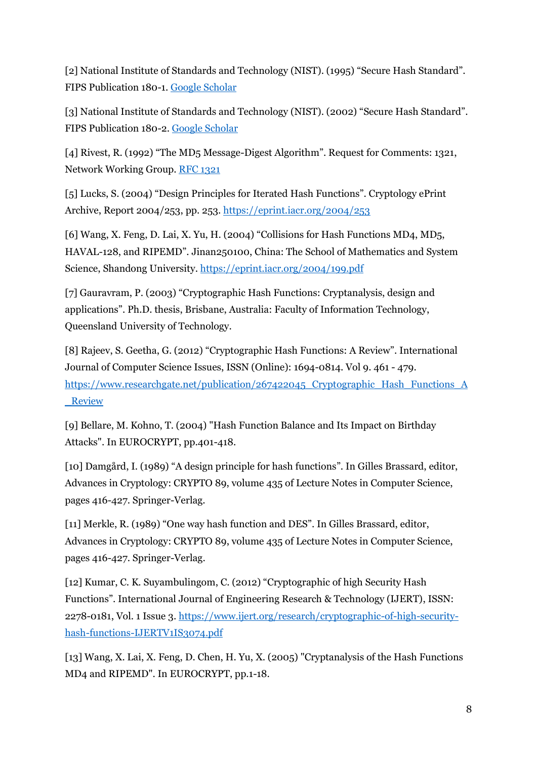[2] National Institute of Standards and Technology (NIST). (1995) "Secure Hash Standard". FIPS Publication 180-1. [Google Scholar](https://scholar.google.com/scholar?q=National%20Institute%20of%20Standards%20and%20Technology%20%28NIST%29.%20%281995%29.%20FIPS%20Publication%20180-1%3A%20Secure%20Hash%20Standard.)

[3] National Institute of Standards and Technology (NIST). (2002) "Secure Hash Standard". FIPS Publication 180-2. [Google Scholar](https://scholar.google.com/scholar?q=National%20Institute%20of%20Standards%20and%20Technology%20%28NIST%29.%20%281995%29.%20FIPS%20Publication%20180-1%3A%20Secure%20Hash%20Standard.)

[4] Rivest, R. (1992) "The MD5 Message-Digest Algorithm". Request for Comments: 1321, Network Working Group. [RFC 1321](https://www.ietf.org/rfc/rfc1321.txt)

[5] Lucks, S. (2004) "Design Principles for Iterated Hash Functions". Cryptology ePrint Archive, Report 2004/253, pp. 253. <https://eprint.iacr.org/2004/253>

[6] Wang, X. Feng, D. Lai, X. Yu, H. (2004) "Collisions for Hash Functions MD4, MD5, HAVAL-128, and RIPEMD". Jinan250100, China: The School of Mathematics and System Science, Shandong University. <https://eprint.iacr.org/2004/199.pdf>

[7] Gauravram, P. (2003) "Cryptographic Hash Functions: Cryptanalysis, design and applications". Ph.D. thesis, Brisbane, Australia: Faculty of Information Technology, Queensland University of Technology.

[8] Rajeev, S. Geetha, G. (2012) "Cryptographic Hash Functions: A Review". International Journal of Computer Science Issues, ISSN (Online): 1694-0814. Vol 9. 461 - 479. [https://www.researchgate.net/publication/267422045\\_Cryptographic\\_Hash\\_Functions\\_A](https://www.researchgate.net/publication/267422045_Cryptographic_Hash_Functions_A_Review) [\\_Review](https://www.researchgate.net/publication/267422045_Cryptographic_Hash_Functions_A_Review)

[9] Bellare, M. Kohno, T. (2004) "Hash Function Balance and Its Impact on Birthday Attacks". In EUROCRYPT, pp.401-418.

[10] Damgård, I. (1989) "A design principle for hash functions". In Gilles Brassard, editor, Advances in Cryptology: CRYPTO 89, volume 435 of Lecture Notes in Computer Science, pages 416-427. Springer-Verlag.

[11] Merkle, R. (1989) "One way hash function and DES". In Gilles Brassard, editor, Advances in Cryptology: CRYPTO 89, volume 435 of Lecture Notes in Computer Science, pages 416-427. Springer-Verlag.

[12] Kumar, C. K. Suyambulingom, C. (2012) "Cryptographic of high Security Hash Functions". International Journal of Engineering Research & Technology (IJERT), ISSN: 2278-0181, Vol. 1 Issue 3. [https://www.ijert.org/research/cryptographic-of-high-security](https://www.ijert.org/research/cryptographic-of-high-security-hash-functions-IJERTV1IS3074.pdf)[hash-functions-IJERTV1IS3074.pdf](https://www.ijert.org/research/cryptographic-of-high-security-hash-functions-IJERTV1IS3074.pdf)

[13] Wang, X. Lai, X. Feng, D. Chen, H. Yu, X. (2005) "Cryptanalysis of the Hash Functions MD4 and RIPEMD". In EUROCRYPT, pp.1-18.